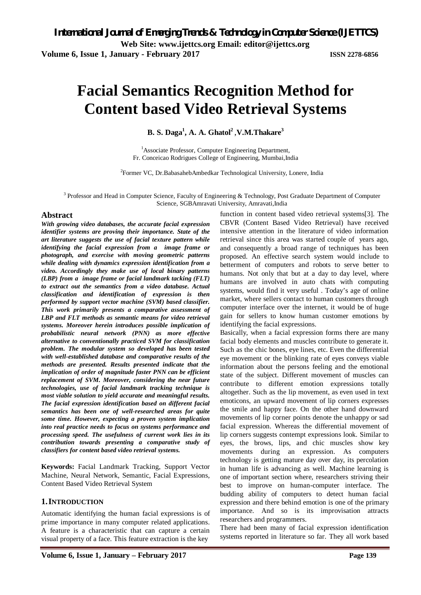# **Facial Semantics Recognition Method for Content based Video Retrieval Systems**

**B. S. Daga<sup>1</sup> , A. A. Ghatol<sup>2</sup>** ,**V.M.Thakare<sup>3</sup>**

<sup>1</sup>Associate Professor, Computer Engineering Department, Fr. Conceicao Rodrigues College of Engineering, Mumbai,India

<sup>2</sup>Former VC, Dr.BabasahebAmbedkar Technological University, Lonere, India

 $3$  Professor and Head in Computer Science, Faculty of Engineering & Technology, Post Graduate Department of Computer Science, SGBAmravati University, Amravati,India

### **Abstract**

*With growing video databases, the accurate facial expression identifier systems are proving their importance. State of the art literature suggests the use of facial texture pattern while identifying the facial expression from a image frame or photograph, and exercise with moving geometric patterns while dealing with dynamics expression identification from a video. Accordingly they make use of local binary patterns (LBP) from a image frame or facial landmark tacking (FLT) to extract out the semantics from a video database. Actual classification and identification of expression is then performed by support vector machine (SVM) based classifier. This work primarily presents a comparative assessment of LBP and FLT methods as semantic means for video retrieval systems. Moreover herein introduces possible implication of probabilistic neural network (PNN) as more effective alternative to conventionally practiced SVM for classification problem. The modular system so developed has been tested with well-established database and comparative results of the methods are presented. Results presented indicate that the implication of order of magnitude faster PNN can be efficient replacement of SVM. Moreover, considering the near future technologies, use of facial landmark tracking technique is most viable solution to yield accurate and meaningful results. The facial expression identification based on different facial semantics has been one of well-researched areas for quite some time. However, expecting a proven system implication into real practice needs to focus on systems performance and processing speed. The usefulness of current work lies in its contribution towards presenting a comparative study of classifiers for content based video retrieval systems.*

**Keywords:** Facial Landmark Tracking, Support Vector Machine, Neural Network, Semantic, Facial Expressions, Content Based Video Retrieval System

#### **1.INTRODUCTION**

Automatic identifying the human facial expressions is of prime importance in many computer related applications. A feature is a characteristic that can capture a certain visual property of a face. This feature extraction is the key

proposed. An effective search system would include to betterment of computers and robots to serve better to humans. Not only that but at a day to day level, where humans are involved in auto chats with computing systems, would find it very useful . Today's age of online market, where sellers contact to human customers through computer interface over the internet, it would be of huge gain for sellers to know human customer emotions by identifying the facial expressions. Basically, when a facial expression forms there are many facial body elements and muscles contribute to generate it. Such as the chic bones, eye lines, etc. Even the differential eye movement or the blinking rate of eyes conveys viable information about the persons feeling and the emotional state of the subject. Different movement of muscles can

function in content based video retrieval systems[3]. The CBVR (Content Based Video Retrieval) have received intensive attention in the literature of video information retrieval since this area was started couple of years ago, and consequently a broad range of techniques has been

contribute to different emotion expressions totally altogether. Such as the lip movement, as even used in text emoticons, an upward movement of lip corners expresses the smile and happy face. On the other hand downward movements of lip corner points denote the unhappy or sad facial expression. Whereas the differential movement of lip corners suggests contempt expressions look. Similar to eyes, the brows, lips, and chic muscles show key movements during an expression. As computers technology is getting mature day over day, its percolation in human life is advancing as well. Machine learning is one of important section where, researchers striving their best to improve on human-computer interface. The budding ability of computers to detect human facial expression and there behind emotion is one of the primary importance. And so is its improvisation attracts researchers and programmers.

There had been many of facial expression identification systems reported in literature so far. They all work based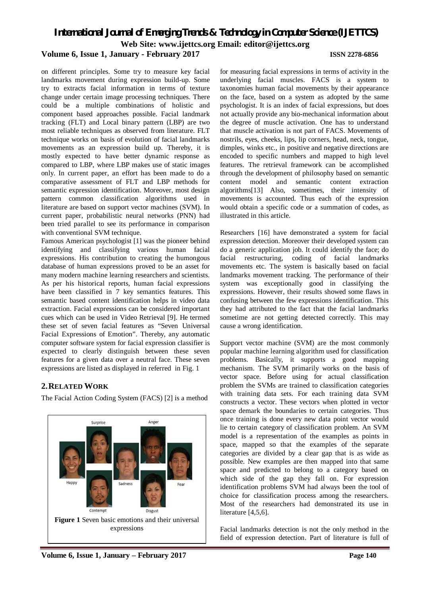# *International Journal of Emerging Trends & Technology in Computer Science (IJETTCS)* **Web Site: www.ijettcs.org Email: [editor@ijettcs.org](mailto:editor@ijettcs.org)**

### **Volume 6, Issue 1, January - February 2017 ISSN 2278-6856**

on different principles. Some try to measure key facial landmarks movement during expression build-up. Some try to extracts facial information in terms of texture change under certain image processing techniques. There could be a multiple combinations of holistic and component based approaches possible. Facial landmark tracking (FLT) and Local binary pattern (LBP) are two most reliable techniques as observed from literature. FLT technique works on basis of evolution of facial landmarks movements as an expression build up. Thereby, it is mostly expected to have better dynamic response as compared to LBP, where LBP makes use of static images only. In current paper, an effort has been made to do a comparative assessment of FLT and LBP methods for semantic expression identification. Moreover, most design pattern common classification algorithms used in literature are based on support vector machines (SVM). In current paper, probabilistic neural networks (PNN) had been tried parallel to see its performance in comparison with conventional SVM technique.

Famous American psychologist [1] was the pioneer behind identifying and classifying various human facial expressions. His contribution to creating the humongous database of human expressions proved to be an asset for many modern machine learning researchers and scientists. As per his historical reports, human facial expressions have been classified in 7 key semantics features. This semantic based content identification helps in video data extraction. Facial expressions can be considered important cues which can be used in Video Retrieval [9]. He termed these set of seven facial features as "Seven Universal Facial Expressions of Emotion". Thereby, any automatic computer software system for facial expression classifier is expected to clearly distinguish between these seven features for a given data over a neutral face. These seven expressions are listed as displayed in referred in Fig. 1

### **2.RELATED WORK**

The Facial Action Coding System (FACS) [2] is a method



**Volume 6, Issue 1, January – February 2017 Page 140**

for measuring facial expressions in terms of activity in the underlying facial muscles. FACS is a system to taxonomies human facial movements by their appearance on the face, based on a system as adopted by the same psychologist. It is an index of facial expressions, but does not actually provide any bio-mechanical information about the degree of muscle activation. One has to understand that muscle activation is not part of FACS. Movements of nostrils, eyes, cheeks, lips, lip corners, head, neck, tongue, dimples, winks etc., in positive and negative directions are encoded to specific numbers and mapped to high level features. The retrieval framework can be accomplished through the development of philosophy based on semantic content model and semantic content extraction algorithms[13] Also, sometimes, their intensity of movements is accounted. Thus each of the expression would obtain a specific code or a summation of codes, as illustrated in this article.

Researchers [16] have demonstrated a system for facial expression detection. Moreover their developed system can do a generic application job. It could identify the face; do facial restructuring, coding of facial landmarks movements etc. The system is basically based on facial landmarks movement tracking. The performance of their system was exceptionally good in classifying the expressions. However, their results showed some flaws in confusing between the few expressions identification. This they had attributed to the fact that the facial landmarks sometime are not getting detected correctly. This may cause a wrong identification.

Support vector machine (SVM) are the most commonly popular machine learning algorithm used for classification problems. Basically, it supports a good mapping mechanism. The SVM primarily works on the basis of vector space. Before using for actual classification problem the SVMs are trained to classification categories with training data sets. For each training data SVM constructs a vector. These vectors when plotted in vector space demark the boundaries to certain categories. Thus once training is done every new data point vector would lie to certain category of classification problem. An SVM model is a representation of the examples as points in space, mapped so that the examples of the separate categories are divided by a clear gap that is as wide as possible. New examples are then mapped into that same space and predicted to belong to a category based on which side of the gap they fall on. For expression identification problems SVM had always been the tool of choice for classification process among the researchers. Most of the researchers had demonstrated its use in literature [4,5,6].

Facial landmarks detection is not the only method in the field of expression detection. Part of literature is full of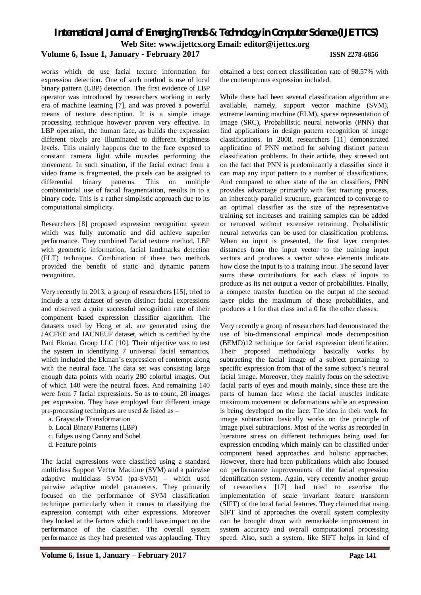# *International Journal of Emerging Trends & Technology in Computer Science (IJETTCS)* **Web Site: www.ijettcs.org Email: [editor@ijettcs.org](mailto:editor@ijettcs.org)**

#### **Volume 6, Issue 1, January - February 2017 ISSN 2278-6856**

works which do use facial texture information for expression detection. One of such method is use of local binary pattern (LBP) detection. The first evidence of LBP operator was introduced by researchers working in early era of machine learning [7], and was proved a powerful means of texture description. It is a simple image processing technique however proven very effective. In LBP operation, the human face, as builds the expression different pixels are illuminated to different brightness levels. This mainly happens due to the face exposed to constant camera light while muscles performing the movement. In such situation, if the facial extract from a video frame is fragmented, the pixels can be assigned to differential binary patterns. This on multiple combinatorial use of facial fragmentation, results in to a binary code. This is a rather simplistic approach due to its computational simplicity.

Researchers [8] proposed expression recognition system which was fully automatic and did achieve superior performance. They combined Facial texture method, LBP with geometric information, facial landmarks detection (FLT) technique. Combination of these two methods provided the benefit of static and dynamic pattern recognition.

Very recently in 2013, a group of researchers [15], tried to include a test dataset of seven distinct facial expressions and observed a quite successful recognition rate of their component based expression classifier algorithm. The datasets used by Hong et al. are generated using the JACFEE and JACNEUF dataset, which is certified by the Paul Ekman Group LLC [10]. Their objective was to test the system in identifying 7 universal facial semantics, which included the Ekman's expression of contempt along with the neutral face. The data set was consisting large enough data points with nearly 280 colorful images. Out of which 140 were the neutral faces. And remaining 140 were from 7 facial expressions. So as to count, 20 images per expression. They have employed four different image pre-processing techniques are used & listed as –

- a. Grayscale Transformation
- b. Local Binary Patterns (LBP)
- c. Edges using Canny and Sobel
- d. Feature points

The facial expressions were classified using a standard multiclass Support Vector Machine (SVM) and a pairwise adaptive multiclass SVM (pa-SVM) – which used pairwise adaptive model parameters. They primarily focused on the performance of SVM classification technique particularly when it comes to classifying the expression contempt with other expressions. Moreover they looked at the factors which could have impact on the performance of the classifier. The overall system performance as they had presented was applauding. They obtained a best correct classification rate of 98.57% with the contemptuous expression included.

While there had been several classification algorithm are available, namely, support vector machine (SVM), extreme learning machine (ELM), sparse representation of image (SRC), Probabilistic neural networks (PNN) that find applications in design pattern recognition of image classifications. In 2008, researchers [11] demonstrated application of PNN method for solving distinct pattern classification problems. In their article, they stressed out on the fact that PNN is predominantly a classifier since it can map any input pattern to a number of classifications. And compared to other state of the art classifiers, PNN provides advantage primarily with fast training process, an inherently parallel structure, guaranteed to converge to an optimal classifier as the size of the representative training set increases and training samples can be added or removed without extensive retraining. Probabilistic neural networks can be used for classification problems. When an input is presented, the first layer computes distances from the input vector to the training input vectors and produces a vector whose elements indicate how close the input is to a training input. The second layer sums these contributions for each class of inputs to produce as its net output a vector of probabilities. Finally, a compete transfer function on the output of the second layer picks the maximum of these probabilities, and produces a 1 for that class and a 0 for the other classes.

Very recently a group of researchers had demonstrated the use of bio-dimensional empirical mode decomposition (BEMD)12 technique for facial expression identification. Their proposed methodology basically works by subtracting the facial image of a subject pertaining to specific expression from that of the same subject's neutral facial image. Moreover, they mainly focus on the selective facial parts of eyes and mouth mainly, since these are the parts of human face where the facial muscles indicate maximum movement or deformations while an expression is being developed on the face. The idea in their work for image subtraction basically works on the principle of image pixel subtractions. Most of the works as recorded in literature stress on different techniques being used for expression encoding which mainly can be classified under component based approaches and holistic approaches. However, there had been publications which also focused on performance improvements of the facial expression identification system. Again, very recently another group of researchers [17] had tried to exercise the implementation of scale invariant feature transform (SIFT) of the local facial features. They claimed that using SIFT kind of approaches the overall system complexity can be brought down with remarkable improvement in system accuracy and overall computational processing speed. Also, such a system, like SIFT helps in kind of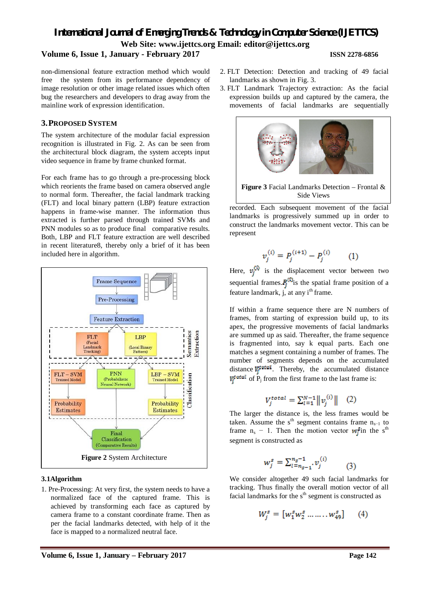# *International Journal of Emerging Trends & Technology in Computer Science (IJETTCS)* **Web Site: www.ijettcs.org Email: [editor@ijettcs.org](mailto:editor@ijettcs.org) Volume 6, Issue 1, January - February 2017 ISSN 2278-6856**

represent

non-dimensional feature extraction method which would free the system from its performance dependency of image resolution or other image related issues which often bug the researchers and developers to drag away from the

mainline work of expression identification.

### **3.PROPOSED SYSTEM**

The system architecture of the modular facial expression recognition is illustrated in Fig. 2. As can be seen from the architectural block diagram, the system accepts input video sequence in frame by frame chunked format.

For each frame has to go through a pre-processing block which reorients the frame based on camera observed angle to normal form. Thereafter, the facial landmark tracking (FLT) and local binary pattern (LBP) feature extraction happens in frame-wise manner. The information thus extracted is further parsed through trained SVMs and PNN modules so as to produce final comparative results. Both, LBP and FLT feature extraction are well described in recent literature8, thereby only a brief of it has been included here in algorithm.



#### **3.1Algorithm**

1. Pre-Processing: At very first, the system needs to have a normalized face of the captured frame. This is achieved by transforming each face as captured by camera frame to a constant coordinate frame. Then as per the facial landmarks detected, with help of it the face is mapped to a normalized neutral face.

- 2. FLT Detection: Detection and tracking of 49 facial landmarks as shown in Fig. 3.
- 3. FLT Landmark Trajectory extraction: As the facial expression builds up and captured by the camera, the movements of facial landmarks are sequentially



recorded. Each subsequent movement of the facial landmarks is progressively summed up in order to construct the landmarks movement vector. This can be Side Views

$$
v_j^{(i)} = P_j^{(i+1)} - P_j^{(i)} \tag{1}
$$

Here,  $v_i^{(i)}$  is the displacement vector between two sequential frames.  $P_i^{(i)}$  is the spatial frame position of a feature landmark,  $\overline{j}$ , at any i<sup>th</sup> frame.

If within a frame sequence there are N numbers of frames, from starting of expression build up, to its apex, the progressive movements of facial landmarks are summed up as said. Thereafter, the frame sequence is fragmented into, say k equal parts. Each one matches a segment containing a number of frames. The number of segments depends on the accumulated distance  $V_i^{\text{total}}$ . Thereby, the accumulated distance  $V_i^{\text{total}}$  of  $P_i$  from the first frame to the last frame is:

$$
V_j^{total} = \sum_{i=1}^{N-1} ||v_j^{(i)}|| \quad (2)
$$

The larger the distance is, the less frames would be taken. Assume the s<sup>th</sup> segment contains frame  $n_{s-1}$  to frame  $n_s - 1$ . Then the motion vector  $w_i^{\text{g}}$  in the s<sup>th</sup> segment is constructed as

$$
w_j^s = \sum_{l=n_{s-1}}^{n_s-1} v_j^{(i)} \qquad (3)
$$

We consider altogether 49 such facial landmarks for tracking. Thus finally the overall motion vector of all facial landmarks for the s<sup>th</sup> segment is constructed as

$$
W_j^s = [w_1^s w_2^s \dots \dots w_{49}^s] \qquad (4)
$$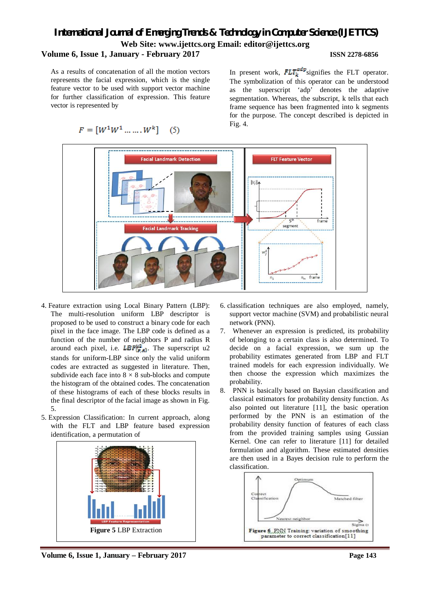# *International Journal of Emerging Trends & Technology in Computer Science (IJETTCS)* **Web Site: www.ijettcs.org Email: [editor@ijettcs.org](mailto:editor@ijettcs.org) Volume 6, Issue 1, January - February 2017 ISSN 2278-6856**

As a results of concatenation of all the motion vectors represents the facial expression, which is the single feature vector to be used with support vector machine for further classification of expression. This feature vector is represented by

 $(5)$ 

In present work,  $FLT_{\text{h}}^{\text{max}}$  signifies the FLT operator. The symbolization of this operator can be understood as the superscript 'adp' denotes the adaptive segmentation. Whereas, the subscript, k tells that each frame sequence has been fragmented into k segments for the purpose. The concept described is depicted in Fig. 4.



- 4. Feature extraction using Local Binary Pattern (LBP): The multi-resolution uniform LBP descriptor is proposed to be used to construct a binary code for each pixel in the face image. The LBP code is defined as a function of the number of neighbors P and radius R around each pixel, i.e.  $LBP_{(p,q)}^{w2}$ . The superscript u2 stands for uniform-LBP since only the valid uniform codes are extracted as suggested in literature. Then, subdivide each face into  $8 \times 8$  sub-blocks and compute the histogram of the obtained codes. The concatenation of these histograms of each of these blocks results in the final descriptor of the facial image as shown in Fig. 5.
- 5. Expression Classification: In current approach, along with the FLT and LBP feature based expression identification, a permutation of



**Volume 6, Issue 1, January – February 2017 Page 143**

- 6. classification techniques are also employed, namely, support vector machine (SVM) and probabilistic neural network (PNN).
- 7. Whenever an expression is predicted, its probability of belonging to a certain class is also determined. To decide on a facial expression, we sum up the probability estimates generated from LBP and FLT trained models for each expression individually. We then choose the expression which maximizes the probability.
- 8. PNN is basically based on Baysian classification and classical estimators for probability density function. As also pointed out literature [11], the basic operation performed by the PNN is an estimation of the probability density function of features of each class from the provided training samples using Gussian Kernel. One can refer to literature [11] for detailed formulation and algorithm. These estimated densities are then used in a Bayes decision rule to perform the classification.

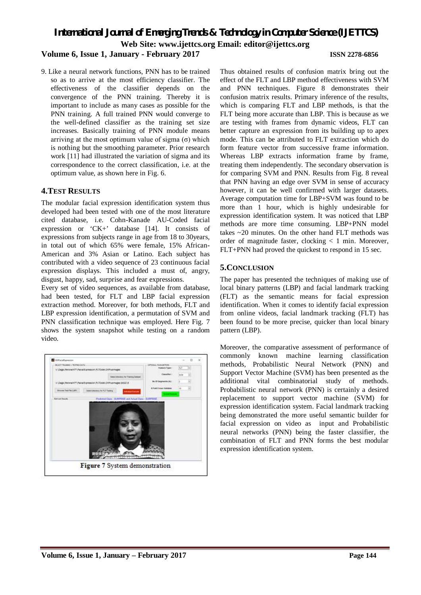*International Journal of Emerging Trends & Technology in Computer Science (IJETTCS)* **Web Site: www.ijettcs.org Email: [editor@ijettcs.org](mailto:editor@ijettcs.org)** 

## **Volume 6, Issue 1, January - February 2017 ISSN 2278-6856**

9. Like a neural network functions, PNN has to be trained so as to arrive at the most efficiency classifier. The effectiveness of the classifier depends on the convergence of the PNN training. Thereby it is important to include as many cases as possible for the PNN training. A full trained PNN would converge to the well-defined classifier as the training set size increases. Basically training of PNN module means arriving at the most optimum value of sigma  $(\sigma)$  which is nothing but the smoothing parameter. Prior research work [11] had illustrated the variation of sigma and its correspondence to the correct classification, i.e. at the optimum value, as shown here in Fig. 6.

#### **4.TEST RESULTS**

The modular facial expression identification system thus developed had been tested with one of the most literature cited database, i.e. Cohn-Kanade AU-Coded facial expression or 'CK+' database [14]. It consists of expressions from subjects range in age from 18 to 30years, in total out of which 65% were female, 15% African-American and 3% Asian or Latino. Each subject has contributed with a video sequence of 23 continuous facial expression displays. This included a must of, angry, disgust, happy, sad, surprise and fear expressions.

Every set of video sequences, as available from database, had been tested, for FLT and LBP facial expression extraction method. Moreover, for both methods, FLT and LBP expression identification, a permutation of SVM and PNN classification technique was employed. Here Fig. 7 shows the system snapshot while testing on a random video.



Thus obtained results of confusion matrix bring out the effect of the FLT and LBP method effectiveness with SVM and PNN techniques. Figure 8 demonstrates their confusion matrix results. Primary inference of the results, which is comparing FLT and LBP methods, is that the FLT being more accurate than LBP. This is because as we are testing with frames from dynamic videos, FLT can better capture an expression from its building up to apex mode. This can be attributed to FLT extraction which do form feature vector from successive frame information. Whereas LBP extracts information frame by frame, treating them independently. The secondary observation is for comparing SVM and PNN. Results from Fig. 8 reveal that PNN having an edge over SVM in sense of accuracy however, it can be well confirmed with larger datasets. Average computation time for LBP+SVM was found to be more than 1 hour, which is highly undesirable for expression identification system. It was noticed that LBP methods are more time consuming. LBP+PNN model takes ~20 minutes. On the other hand FLT methods was order of magnitude faster, clocking < 1 min. Moreover, FLT+PNN had proved the quickest to respond in 15 sec.

### **5.CONCLUSION**

The paper has presented the techniques of making use of local binary patterns (LBP) and facial landmark tracking (FLT) as the semantic means for facial expression identification. When it comes to identify facial expression from online videos, facial landmark tracking (FLT) has been found to be more precise, quicker than local binary pattern (LBP).

Moreover, the comparative assessment of performance of commonly known machine learning classification methods, Probabilistic Neural Network (PNN) and Support Vector Machine (SVM) has been presented as the additional vital combinatorial study of methods. Probabilistic neural network (PNN) is certainly a desired replacement to support vector machine (SVM) for expression identification system. Facial landmark tracking being demonstrated the more useful semantic builder for facial expression on video as input and Probabilistic neural networks (PNN) being the faster classifier, the combination of FLT and PNN forms the best modular expression identification system.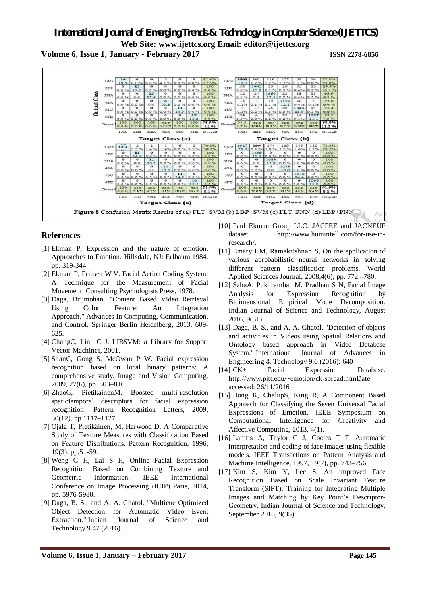**Volume 6, Issue 1, January - February 2017 ISSN 2278-6856**



### **References**

- [1] Ekman P, Expression and the nature of emotion. Approaches to Emotion. Hillsdale, NJ: Erlbaum.1984. pp. 319-344.
- [2] Ekman P, Friesen W V. Facial Action Coding System: A Technique for the Measurement of Facial Movement. Consulting Psychologists Press, 1978.
- [3] Daga, Brijmohan. "Content Based Video Retrieval Using Color Feature: An Integration Approach." Advances in Computing, Communication, and Control. Springer Berlin Heidelberg, 2013. 609- 625.
- [4] ChangC, Lin C J. LIBSVM: a Library for Support Vector Machines, 2001.
- [5] ShanC, Gong S, McOwan P W. Facial expression recognition based on local binary patterns: A comprehensive study. Image and Vision Computing, 2009, 27(6), pp. 803–816.
- [6] ZhaoG, PietikainenM. Boosted multi-resolution spatiotemporal descriptors for facial expression recognition. Pattern Recognition Letters, 2009, 30(12), pp.1117–1127.
- [7] Ojala T, Pietikäinen, M, Harwood D, A Comparative Study of Texture Measures with Classification Based on Feature Distributions. Pattern Recognition, 1996, 19(3), pp.51-59.
- [8] Weng C H, Lai S H, Online Facial Expression Recognition Based on Combining Texture and Geometric Information. IEEE International Conference on Image Processing (ICIP) Paris, 2014, pp. 5976-5980.
- [9] Daga, B. S., and A. A. Ghatol. "Multicue Optimized Object Detection for Automatic Video Event Extraction." Indian Journal of Science and Technology 9.47 (2016).
- [10] Paul Ekman Group LLC. JACFEE and JACNEUF dataset. [http://www.humintell.com/for-use-in](http://www.humintell.com/for-use-in-)research/.
- [11] Emary I M, Ramakrishnan S, On the application of various aprobabilistic neural networks in solving different pattern classification problems. World Applied Sciences Journal, 2008,4(6), pp. 772 –780.
- [12] SahaA, PukhrambamM, Pradhan S N, Facial Image Analysis for Expression Recognition by Bidimensional Empirical Mode Decomposition. Indian Journal of Science and Technology, August 2016, 9(31).
- [13] Daga, B. S., and A. A. Ghatol. "Detection of objects and activities in Videos using Spatial Relations and Ontology based approach in Video Database System." International Journal of Advances in Engineering & Technology 9.6 (2016): 640
- [14] CK+ Facial Expression Database. <http://www.pitt.edu/~emotion/ck-spread.htmDate> accessed: 26/11/2016
- [15] Hong K, ChalupS, King R, A Component Based Approach for Classifying the Seven Universal Facial Expressions of Emotion. IEEE Symposium on Computational Intelligence for Creativity and Affective Computing, 2013, 4(1).
- [16] Lanitis A, Taylor C J, Cootes T F. Automatic interpretation and coding of face images using flexible models. IEEE Transactions on Pattern Analysis and Machine Intelligence, 1997, 19(7), pp. 743–756.
- [17] Kim S, Kim Y, Lee S, An improved Face Recognition Based on Scale Invariant Feature Transform (SIFT): Training for Integrating Multiple Images and Matching by Key Point's Descriptor-Geometry. Indian Journal of Science and Technology, September 2016, 9(35)